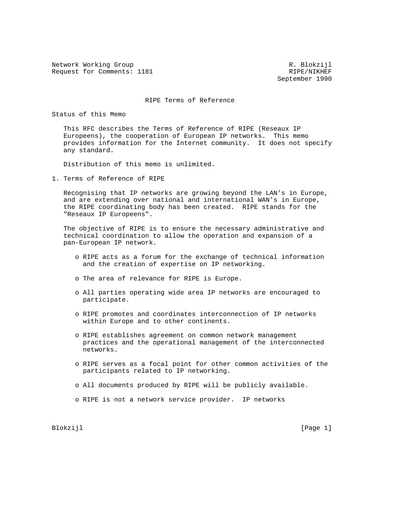Network Working Group and the set of the set of the R. Blokzijl Request for Comments: 1181 Request for Comments: 1181

September 1990

## RIPE Terms of Reference

Status of this Memo

 This RFC describes the Terms of Reference of RIPE (Reseaux IP Europeens), the cooperation of European IP networks. This memo provides information for the Internet community. It does not specify any standard.

Distribution of this memo is unlimited.

1. Terms of Reference of RIPE

 Recognising that IP networks are growing beyond the LAN's in Europe, and are extending over national and international WAN's in Europe, the RIPE coordinating body has been created. RIPE stands for the "Reseaux IP Europeens".

 The objective of RIPE is to ensure the necessary administrative and technical coordination to allow the operation and expansion of a pan-European IP network.

- o RIPE acts as a forum for the exchange of technical information and the creation of expertise on IP networking.
- o The area of relevance for RIPE is Europe.
- o All parties operating wide area IP networks are encouraged to participate.
- o RIPE promotes and coordinates interconnection of IP networks within Europe and to other continents.
- o RIPE establishes agreement on common network management practices and the operational management of the interconnected networks.
- o RIPE serves as a focal point for other common activities of the participants related to IP networking.
- o All documents produced by RIPE will be publicly available.
- o RIPE is not a network service provider. IP networks

Blokzijl **Europa (Page 1)**